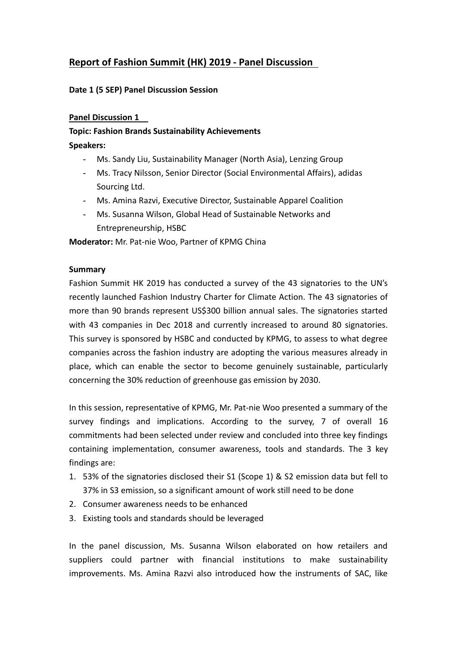# **Report of Fashion Summit (HK) 2019 - Panel Discussion**

## **Date 1 (5 SEP) Panel Discussion Session**

### **Panel Discussion 1**

## **Topic: Fashion Brands Sustainability Achievements**

**Speakers:** 

- Ms. Sandy Liu, Sustainability Manager (North Asia), Lenzing Group
- Ms. Tracy Nilsson, Senior Director (Social Environmental Affairs), adidas Sourcing Ltd.
- Ms. Amina Razvi, Executive Director, Sustainable Apparel Coalition
- Ms. Susanna Wilson, Global Head of Sustainable Networks and Entrepreneurship, HSBC

**Moderator:** Mr. Pat-nie Woo, Partner of KPMG China

### **Summary**

Fashion Summit HK 2019 has conducted a survey of the 43 signatories to the UN's recently launched Fashion Industry Charter for Climate Action. The 43 signatories of more than 90 brands represent US\$300 billion annual sales. The signatories started with 43 companies in Dec 2018 and currently increased to around 80 signatories. This survey is sponsored by HSBC and conducted by KPMG, to assess to what degree companies across the fashion industry are adopting the various measures already in place, which can enable the sector to become genuinely sustainable, particularly concerning the 30% reduction of greenhouse gas emission by 2030.

In this session, representative of KPMG, Mr. Pat-nie Woo presented a summary of the survey findings and implications. According to the survey, 7 of overall 16 commitments had been selected under review and concluded into three key findings containing implementation, consumer awareness, tools and standards. The 3 key findings are:

- 1. 53% of the signatories disclosed their S1 (Scope 1) & S2 emission data but fell to 37% in S3 emission, so a significant amount of work still need to be done
- 2. Consumer awareness needs to be enhanced
- 3. Existing tools and standards should be leveraged

In the panel discussion, Ms. Susanna Wilson elaborated on how retailers and suppliers could partner with financial institutions to make sustainability improvements. Ms. Amina Razvi also introduced how the instruments of SAC, like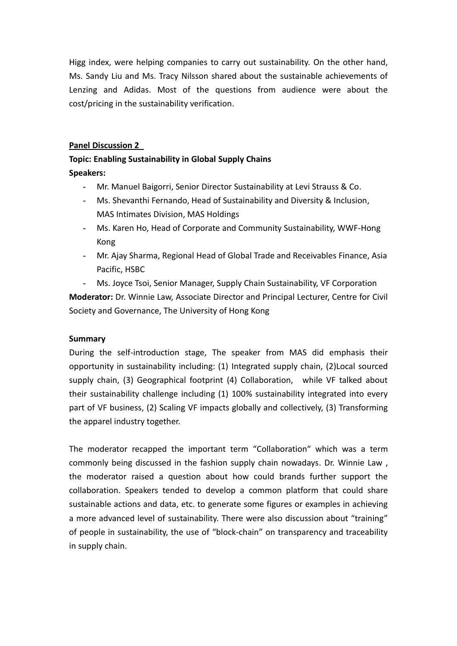Higg index, were helping companies to carry out sustainability. On the other hand, Ms. Sandy Liu and Ms. Tracy Nilsson shared about the sustainable achievements of Lenzing and Adidas. Most of the questions from audience were about the cost/pricing in the sustainability verification.

## **Panel Discussion 2**

## **Topic: Enabling Sustainability in Global Supply Chains**

## **Speakers:**

- Mr. Manuel Baigorri, Senior Director Sustainability at Levi Strauss & Co.
- Ms. Shevanthi Fernando, Head of Sustainability and Diversity & Inclusion, MAS Intimates Division, MAS Holdings
- Ms. Karen Ho, Head of Corporate and Community Sustainability, WWF-Hong Kong
- Mr. Ajay Sharma, Regional Head of Global Trade and Receivables Finance, Asia Pacific, HSBC

- Ms. Joyce Tsoi, Senior Manager, Supply Chain Sustainability, VF Corporation **Moderator:** Dr. Winnie Law, Associate Director and Principal Lecturer, Centre for Civil Society and Governance, The University of Hong Kong

## **Summary**

During the self-introduction stage, The speaker from MAS did emphasis their opportunity in sustainability including: (1) Integrated supply chain, (2)Local sourced supply chain, (3) Geographical footprint (4) Collaboration, while VF talked about their sustainability challenge including (1) 100% sustainability integrated into every part of VF business, (2) Scaling VF impacts globally and collectively, (3) Transforming the apparel industry together.

The moderator recapped the important term "Collaboration" which was a term commonly being discussed in the fashion supply chain nowadays. Dr. Winnie Law , the moderator raised a question about how could brands further support the collaboration. Speakers tended to develop a common platform that could share sustainable actions and data, etc. to generate some figures or examples in achieving a more advanced level of sustainability. There were also discussion about "training" of people in sustainability, the use of "block-chain" on transparency and traceability in supply chain.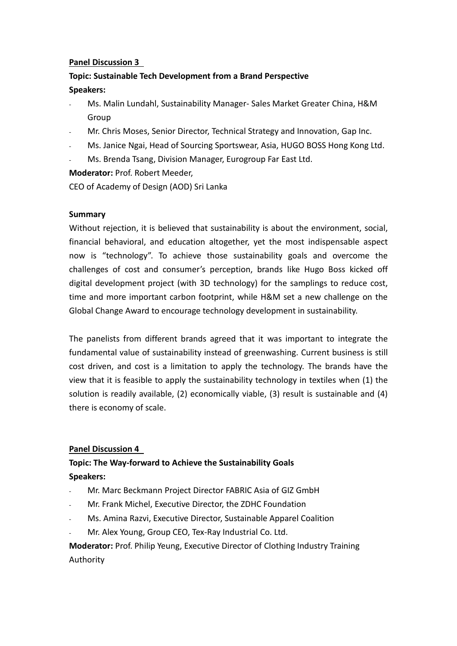## **Panel Discussion 3**

# **Topic: Sustainable Tech Development from a Brand Perspective Speakers:**

- Ms. Malin Lundahl, Sustainability Manager- Sales Market Greater China, H&M Group
- Mr. Chris Moses, Senior Director, Technical Strategy and Innovation, Gap Inc.
- Ms. Janice Ngai, Head of Sourcing Sportswear, Asia, HUGO BOSS Hong Kong Ltd.
- Ms. Brenda Tsang, Division Manager, Eurogroup Far East Ltd.

**Moderator:** Prof. Robert Meeder,

CEO of Academy of Design (AOD) Sri Lanka

## **Summary**

Without rejection, it is believed that sustainability is about the environment, social, financial behavioral, and education altogether, yet the most indispensable aspect now is "technology". To achieve those sustainability goals and overcome the challenges of cost and consumer's perception, brands like Hugo Boss kicked off digital development project (with 3D technology) for the samplings to reduce cost, time and more important carbon footprint, while H&M set a new challenge on the Global Change Award to encourage technology development in sustainability.

The panelists from different brands agreed that it was important to integrate the fundamental value of sustainability instead of greenwashing. Current business is still cost driven, and cost is a limitation to apply the technology. The brands have the view that it is feasible to apply the sustainability technology in textiles when (1) the solution is readily available, (2) economically viable, (3) result is sustainable and (4) there is economy of scale.

## **Panel Discussion 4**

# **Topic: The Way-forward to Achieve the Sustainability Goals Speakers:**

- Mr. Marc Beckmann Project Director FABRIC Asia of GIZ GmbH
- Mr. Frank Michel, Executive Director, the ZDHC Foundation
- Ms. Amina Razvi, Executive Director, Sustainable Apparel Coalition
- Mr. Alex Young, Group CEO, Tex-Ray Industrial Co. Ltd.

**Moderator:** Prof. Philip Yeung, Executive Director of Clothing Industry Training Authority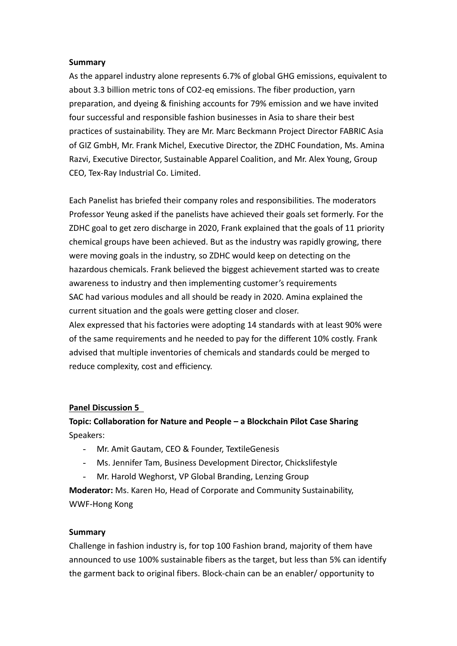#### **Summary**

As the apparel industry alone represents 6.7% of global GHG emissions, equivalent to about 3.3 billion metric tons of CO2-eq emissions. The fiber production, yarn preparation, and dyeing & finishing accounts for 79% emission and we have invited four successful and responsible fashion businesses in Asia to share their best practices of sustainability. They are Mr. Marc Beckmann Project Director FABRIC Asia of GIZ GmbH, Mr. Frank Michel, Executive Director, the ZDHC Foundation, Ms. Amina Razvi, Executive Director, Sustainable Apparel Coalition, and Mr. Alex Young, Group CEO, Tex-Ray Industrial Co. Limited.

Each Panelist has briefed their company roles and responsibilities. The moderators Professor Yeung asked if the panelists have achieved their goals set formerly. For the ZDHC goal to get zero discharge in 2020, Frank explained that the goals of 11 priority chemical groups have been achieved. But as the industry was rapidly growing, there were moving goals in the industry, so ZDHC would keep on detecting on the hazardous chemicals. Frank believed the biggest achievement started was to create awareness to industry and then implementing customer's requirements SAC had various modules and all should be ready in 2020. Amina explained the current situation and the goals were getting closer and closer. Alex expressed that his factories were adopting 14 standards with at least 90% were of the same requirements and he needed to pay for the different 10% costly. Frank advised that multiple inventories of chemicals and standards could be merged to reduce complexity, cost and efficiency.

### **Panel Discussion 5**

## **Topic: Collaboration for Nature and People – a Blockchain Pilot Case Sharing** Speakers:

- Mr. Amit Gautam, CEO & Founder, TextileGenesis
- Ms. Jennifer Tam, Business Development Director, Chickslifestyle
- Mr. Harold Weghorst, VP Global Branding, Lenzing Group

**Moderator:** Ms. Karen Ho, Head of Corporate and Community Sustainability, WWF-Hong Kong

### **Summary**

Challenge in fashion industry is, for top 100 Fashion brand, majority of them have announced to use 100% sustainable fibers as the target, but less than 5% can identify the garment back to original fibers. Block-chain can be an enabler/ opportunity to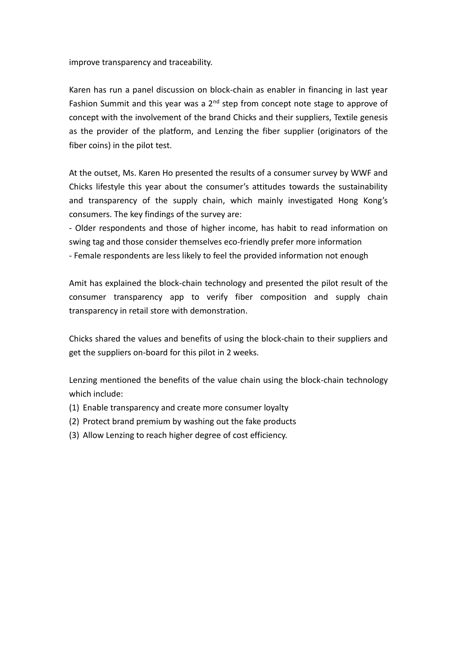improve transparency and traceability.

Karen has run a panel discussion on block-chain as enabler in financing in last year Fashion Summit and this year was a 2<sup>nd</sup> step from concept note stage to approve of concept with the involvement of the brand Chicks and their suppliers, Textile genesis as the provider of the platform, and Lenzing the fiber supplier (originators of the fiber coins) in the pilot test.

At the outset, Ms. Karen Ho presented the results of a consumer survey by WWF and Chicks lifestyle this year about the consumer's attitudes towards the sustainability and transparency of the supply chain, which mainly investigated Hong Kong's consumers. The key findings of the survey are:

- Older respondents and those of higher income, has habit to read information on swing tag and those consider themselves eco-friendly prefer more information - Female respondents are less likely to feel the provided information not enough

Amit has explained the block-chain technology and presented the pilot result of the consumer transparency app to verify fiber composition and supply chain transparency in retail store with demonstration.

Chicks shared the values and benefits of using the block-chain to their suppliers and get the suppliers on-board for this pilot in 2 weeks.

Lenzing mentioned the benefits of the value chain using the block-chain technology which include:

- (1) Enable transparency and create more consumer loyalty
- (2) Protect brand premium by washing out the fake products
- (3) Allow Lenzing to reach higher degree of cost efficiency.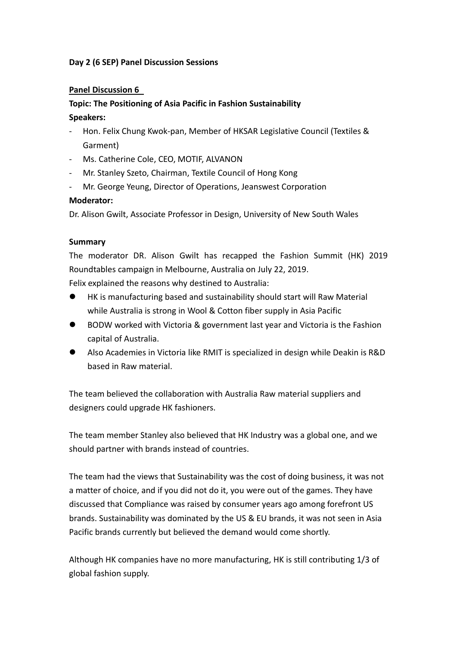## **Day 2 (6 SEP) Panel Discussion Sessions**

## **Panel Discussion 6**

# **Topic: The Positioning of Asia Pacific in Fashion Sustainability**

## **Speakers:**

- Hon. Felix Chung Kwok-pan, Member of HKSAR Legislative Council (Textiles & Garment)
- Ms. Catherine Cole, CEO, MOTIF, ALVANON
- Mr. Stanley Szeto, Chairman, Textile Council of Hong Kong
- Mr. George Yeung, Director of Operations, Jeanswest Corporation

## **Moderator:**

Dr. Alison Gwilt, Associate Professor in Design, University of New South Wales

## **Summary**

The moderator DR. Alison Gwilt has recapped the Fashion Summit (HK) 2019 Roundtables campaign in Melbourne, Australia on July 22, 2019. Felix explained the reasons why destined to Australia:

- ⚫ HK is manufacturing based and sustainability should start will Raw Material while Australia is strong in Wool & Cotton fiber supply in Asia Pacific
- ⚫ BODW worked with Victoria & government last year and Victoria is the Fashion capital of Australia.
- ⚫ Also Academies in Victoria like RMIT is specialized in design while Deakin is R&D based in Raw material.

The team believed the collaboration with Australia Raw material suppliers and designers could upgrade HK fashioners.

The team member Stanley also believed that HK Industry was a global one, and we should partner with brands instead of countries.

The team had the views that Sustainability was the cost of doing business, it was not a matter of choice, and if you did not do it, you were out of the games. They have discussed that Compliance was raised by consumer years ago among forefront US brands. Sustainability was dominated by the US & EU brands, it was not seen in Asia Pacific brands currently but believed the demand would come shortly.

Although HK companies have no more manufacturing, HK is still contributing 1/3 of global fashion supply.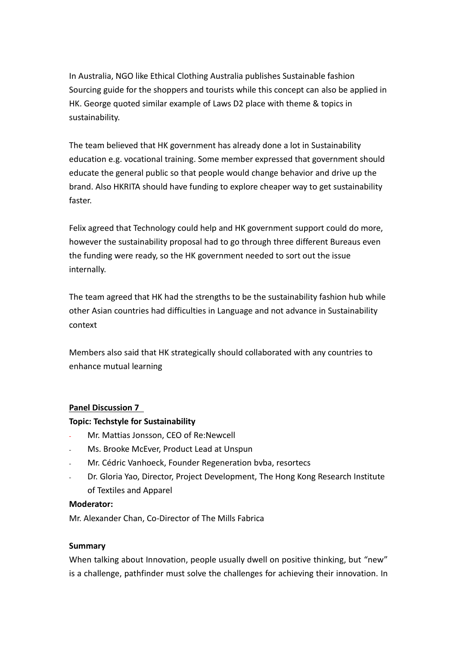In Australia, NGO like Ethical Clothing Australia publishes Sustainable fashion Sourcing guide for the shoppers and tourists while this concept can also be applied in HK. George quoted similar example of Laws D2 place with theme & topics in sustainability.

The team believed that HK government has already done a lot in Sustainability education e.g. vocational training. Some member expressed that government should educate the general public so that people would change behavior and drive up the brand. Also HKRITA should have funding to explore cheaper way to get sustainability faster.

Felix agreed that Technology could help and HK government support could do more, however the sustainability proposal had to go through three different Bureaus even the funding were ready, so the HK government needed to sort out the issue internally.

The team agreed that HK had the strengths to be the sustainability fashion hub while other Asian countries had difficulties in Language and not advance in Sustainability context

Members also said that HK strategically should collaborated with any countries to enhance mutual learning

### **Panel Discussion 7**

### **Topic: Techstyle for Sustainability**

- Mr. Mattias Jonsson, CEO of Re:Newcell
- Ms. Brooke McEver, Product Lead at Unspun
- Mr. Cédric Vanhoeck, Founder Regeneration bvba, resortecs
- Dr. Gloria Yao, Director, Project Development, The Hong Kong Research Institute of Textiles and Apparel

### **Moderator:**

Mr. Alexander Chan, Co-Director of The Mills Fabrica

### **Summary**

When talking about Innovation, people usually dwell on positive thinking, but "new" is a challenge, pathfinder must solve the challenges for achieving their innovation. In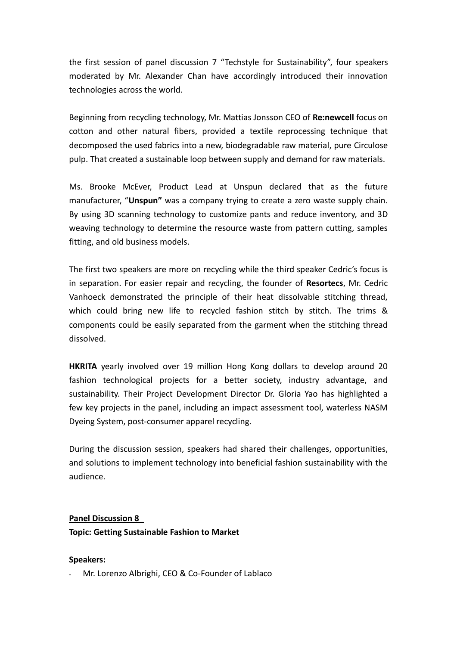the first session of panel discussion 7 "Techstyle for Sustainability", four speakers moderated by Mr. Alexander Chan have accordingly introduced their innovation technologies across the world.

Beginning from recycling technology, Mr. Mattias Jonsson CEO of **Re:newcell** focus on cotton and other natural fibers, provided a textile reprocessing technique that decomposed the used fabrics into a new, biodegradable raw material, pure Circulose pulp. That created a sustainable loop between supply and demand for raw materials.

Ms. Brooke McEver, Product Lead at Unspun declared that as the future manufacturer, "**Unspun"** was a company trying to create a zero waste supply chain. By using 3D scanning technology to customize pants and reduce inventory, and 3D weaving technology to determine the resource waste from pattern cutting, samples fitting, and old business models.

The first two speakers are more on recycling while the third speaker Cedric's focus is in separation. For easier repair and recycling, the founder of **Resortecs**, Mr. Cedric Vanhoeck demonstrated the principle of their heat dissolvable stitching thread, which could bring new life to recycled fashion stitch by stitch. The trims & components could be easily separated from the garment when the stitching thread dissolved.

**HKRITA** yearly involved over 19 million Hong Kong dollars to develop around 20 fashion technological projects for a better society, industry advantage, and sustainability. Their Project Development Director Dr. Gloria Yao has highlighted a few key projects in the panel, including an impact assessment tool, waterless NASM Dyeing System, post-consumer apparel recycling.

During the discussion session, speakers had shared their challenges, opportunities, and solutions to implement technology into beneficial fashion sustainability with the audience.

### **Panel Discussion 8**

**Topic: Getting Sustainable Fashion to Market**

### **Speakers:**

Mr. Lorenzo Albrighi, CEO & Co-Founder of Lablaco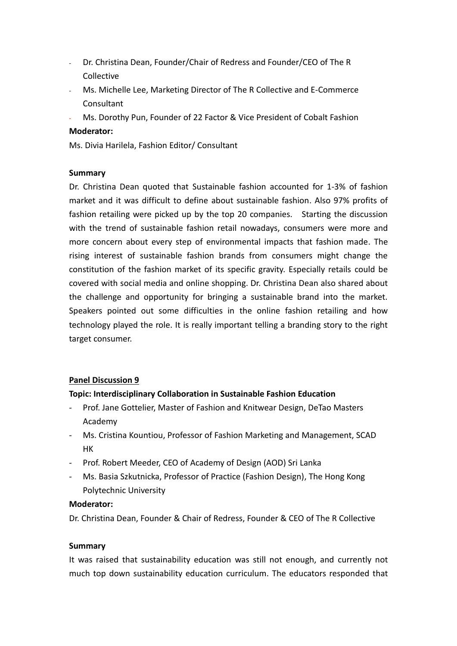- Dr. Christina Dean, Founder/Chair of Redress and Founder/CEO of The R Collective
- Ms. Michelle Lee, Marketing Director of The R Collective and E-Commerce Consultant
- Ms. Dorothy Pun, Founder of 22 Factor & Vice President of Cobalt Fashion **Moderator:**

Ms. Divia Harilela, Fashion Editor/ Consultant

### **Summary**

Dr. Christina Dean quoted that Sustainable fashion accounted for 1-3% of fashion market and it was difficult to define about sustainable fashion. Also 97% profits of fashion retailing were picked up by the top 20 companies. Starting the discussion with the trend of sustainable fashion retail nowadays, consumers were more and more concern about every step of environmental impacts that fashion made. The rising interest of sustainable fashion brands from consumers might change the constitution of the fashion market of its specific gravity. Especially retails could be covered with social media and online shopping. Dr. Christina Dean also shared about the challenge and opportunity for bringing a sustainable brand into the market. Speakers pointed out some difficulties in the online fashion retailing and how technology played the role. It is really important telling a branding story to the right target consumer.

## **Panel Discussion 9**

## **Topic: Interdisciplinary Collaboration in Sustainable Fashion Education**

- Prof. Jane Gottelier, Master of Fashion and Knitwear Design, DeTao Masters Academy
- Ms. Cristina Kountiou, Professor of Fashion Marketing and Management, SCAD HK
- Prof. Robert Meeder, CEO of Academy of Design (AOD) Sri Lanka
- Ms. Basia Szkutnicka, Professor of Practice (Fashion Design), The Hong Kong Polytechnic University

### **Moderator:**

Dr. Christina Dean, Founder & Chair of Redress, Founder & CEO of The R Collective

### **Summary**

It was raised that sustainability education was still not enough, and currently not much top down sustainability education curriculum. The educators responded that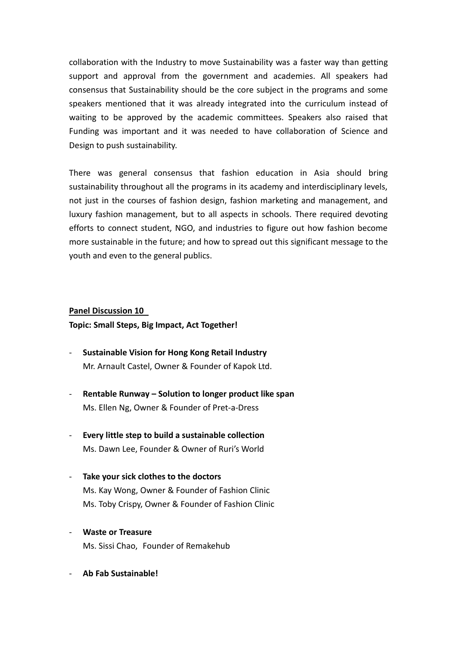collaboration with the Industry to move Sustainability was a faster way than getting support and approval from the government and academies. All speakers had consensus that Sustainability should be the core subject in the programs and some speakers mentioned that it was already integrated into the curriculum instead of waiting to be approved by the academic committees. Speakers also raised that Funding was important and it was needed to have collaboration of Science and Design to push sustainability.

There was general consensus that fashion education in Asia should bring sustainability throughout all the programs in its academy and interdisciplinary levels, not just in the courses of fashion design, fashion marketing and management, and luxury fashion management, but to all aspects in schools. There required devoting efforts to connect student, NGO, and industries to figure out how fashion become more sustainable in the future; and how to spread out this significant message to the youth and even to the general publics.

### **Panel Discussion 10**

**Topic: Small Steps, Big Impact, Act Together!**

- **Sustainable Vision for Hong Kong Retail Industry**  Mr. Arnault Castel, Owner & Founder of Kapok Ltd.
- **Rentable Runway – Solution to longer product like span** Ms. Ellen Ng, Owner & Founder of Pret-a-Dress
- **Every little step to build a sustainable collection** Ms. Dawn Lee, Founder & Owner of Ruri's World
- **Take your sick clothes to the doctors** Ms. Kay Wong, Owner & Founder of Fashion Clinic Ms. Toby Crispy, Owner & Founder of Fashion Clinic
- **Waste or Treasure** Ms. Sissi Chao, Founder of Remakehub
- **Ab Fab Sustainable!**